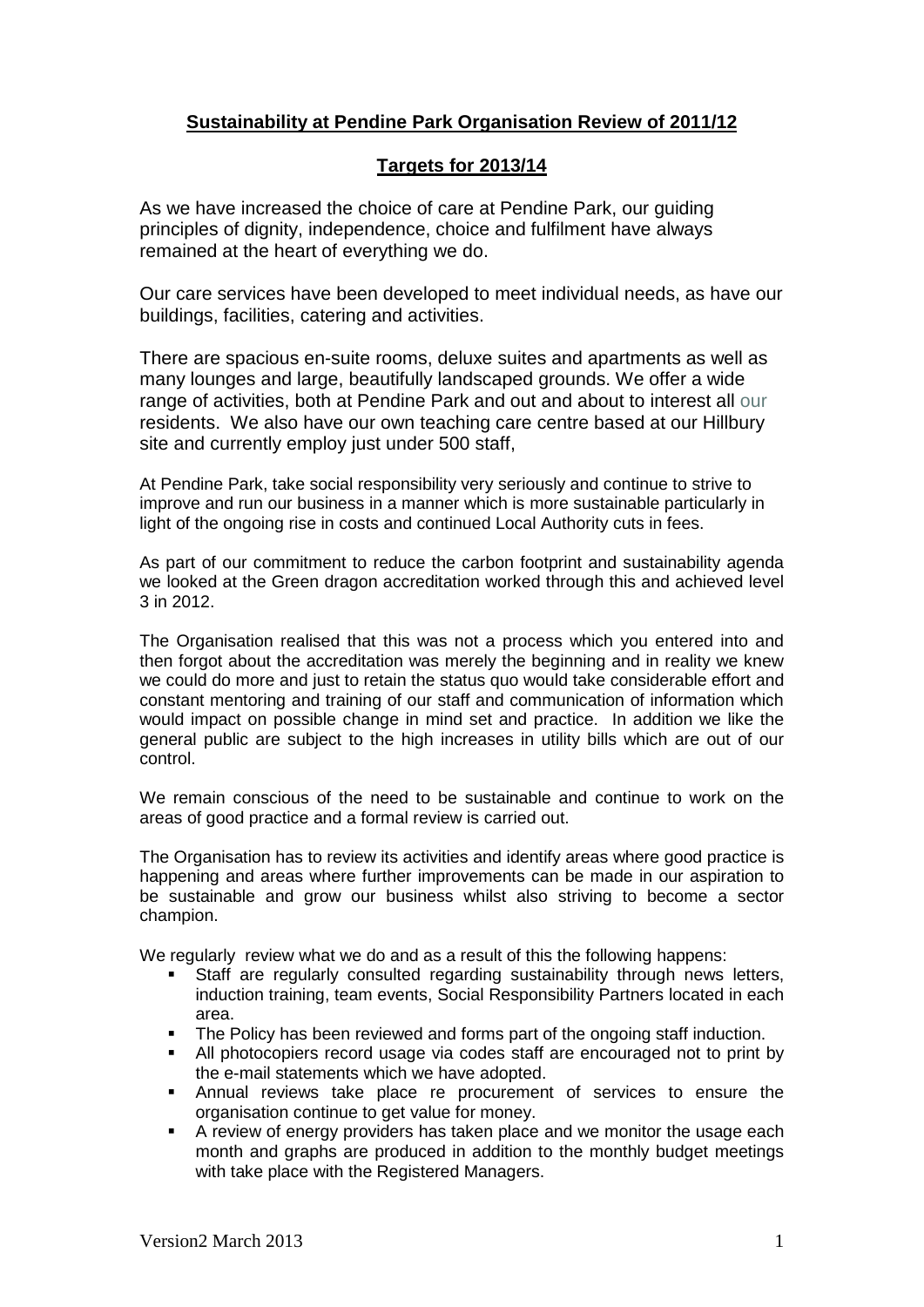## **Sustainability at Pendine Park Organisation Review of 2011/12**

### **Targets for 2013/14**

As we have increased the choice of care at Pendine Park, our guiding principles of dignity, independence, choice and fulfilment have always remained at the heart of everything we do.

Our care services have been developed to meet individual needs, as have our buildings, facilities, [catering](http://www.pendinepark.com/greatfood.html) and activities.

There are spacious en-suite rooms, deluxe suites and apartments as well as many lounges and large, beautifully landscaped grounds. We offer a wide range of [activities,](http://www.pendinepark.com/activities.html) both at Pendine Park and out and about to interest all our residents. We also have our own teaching care centre based at our Hillbury site and currently employ just under 500 staff,

At Pendine Park, take social responsibility very seriously and continue to strive to improve and run our business in a manner which is more sustainable particularly in light of the ongoing rise in costs and continued Local Authority cuts in fees.

As part of our commitment to reduce the carbon footprint and sustainability agenda we looked at the Green dragon accreditation worked through this and achieved level 3 in 2012.

The Organisation realised that this was not a process which you entered into and then forgot about the accreditation was merely the beginning and in reality we knew we could do more and just to retain the status quo would take considerable effort and constant mentoring and training of our staff and communication of information which would impact on possible change in mind set and practice. In addition we like the general public are subject to the high increases in utility bills which are out of our control.

We remain conscious of the need to be sustainable and continue to work on the areas of good practice and a formal review is carried out.

The Organisation has to review its activities and identify areas where good practice is happening and areas where further improvements can be made in our aspiration to be sustainable and grow our business whilst also striving to become a sector champion.

We regularly review what we do and as a result of this the following happens:

- Staff are regularly consulted regarding sustainability through news letters, induction training, team events, Social Responsibility Partners located in each area.
- The Policy has been reviewed and forms part of the ongoing staff induction.
- All photocopiers record usage via codes staff are encouraged not to print by the e-mail statements which we have adopted.
- Annual reviews take place re procurement of services to ensure the organisation continue to get value for money.
- A review of energy providers has taken place and we monitor the usage each month and graphs are produced in addition to the monthly budget meetings with take place with the Registered Managers.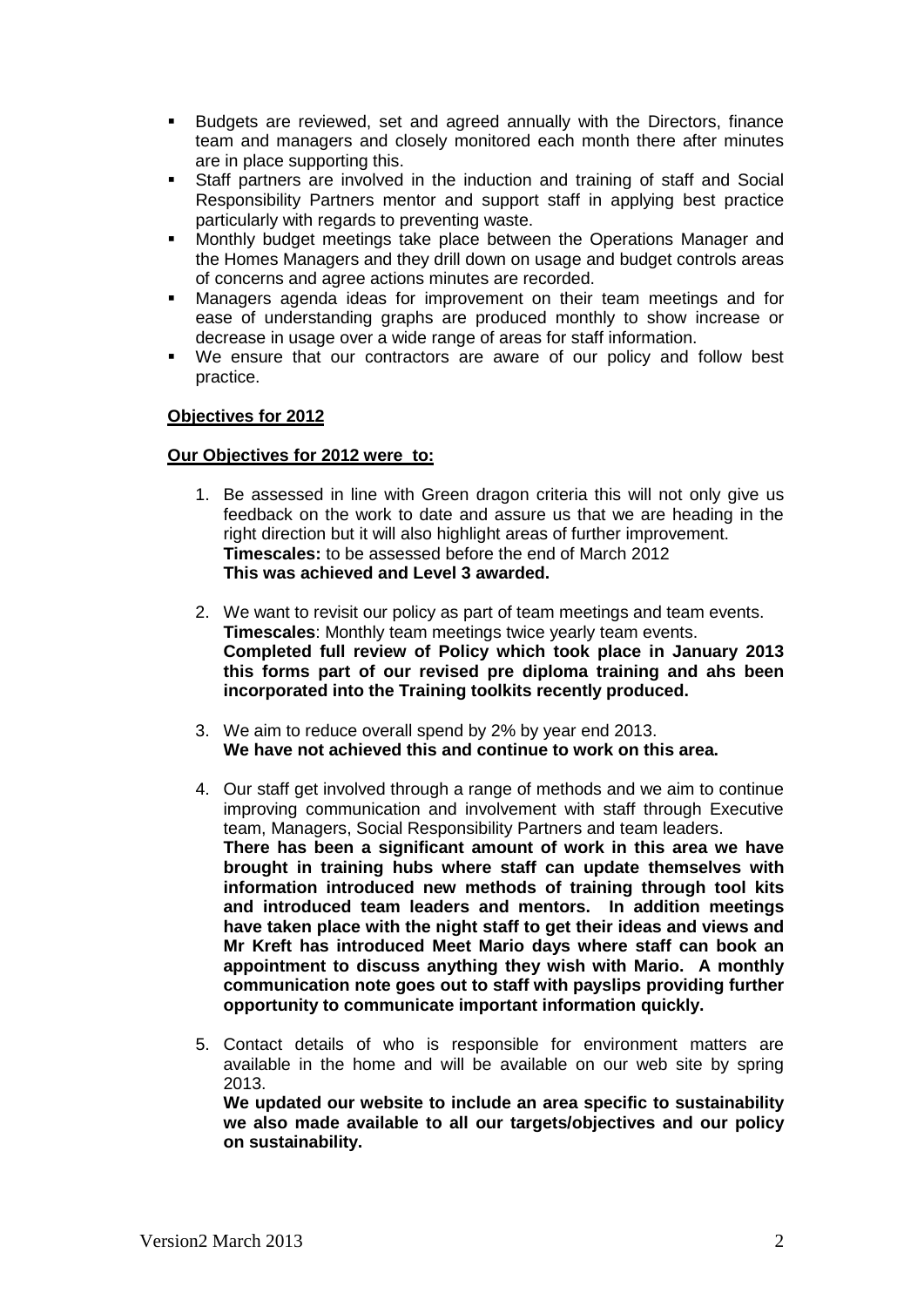- Budgets are reviewed, set and agreed annually with the Directors, finance team and managers and closely monitored each month there after minutes are in place supporting this.
- Staff partners are involved in the induction and training of staff and Social Responsibility Partners mentor and support staff in applying best practice particularly with regards to preventing waste.
- Monthly budget meetings take place between the Operations Manager and the Homes Managers and they drill down on usage and budget controls areas of concerns and agree actions minutes are recorded.
- Managers agenda ideas for improvement on their team meetings and for ease of understanding graphs are produced monthly to show increase or decrease in usage over a wide range of areas for staff information.
- We ensure that our contractors are aware of our policy and follow best practice.

#### **Objectives for 2012**

#### **Our Objectives for 2012 were to:**

- 1. Be assessed in line with Green dragon criteria this will not only give us feedback on the work to date and assure us that we are heading in the right direction but it will also highlight areas of further improvement. **Timescales:** to be assessed before the end of March 2012 **This was achieved and Level 3 awarded.**
- 2. We want to revisit our policy as part of team meetings and team events. **Timescales**: Monthly team meetings twice yearly team events. **Completed full review of Policy which took place in January 2013 this forms part of our revised pre diploma training and ahs been incorporated into the Training toolkits recently produced.**
- 3. We aim to reduce overall spend by 2% by year end 2013. **We have not achieved this and continue to work on this area.**
- 4. Our staff get involved through a range of methods and we aim to continue improving communication and involvement with staff through Executive team, Managers, Social Responsibility Partners and team leaders. **There has been a significant amount of work in this area we have brought in training hubs where staff can update themselves with information introduced new methods of training through tool kits and introduced team leaders and mentors. In addition meetings have taken place with the night staff to get their ideas and views and Mr Kreft has introduced Meet Mario days where staff can book an appointment to discuss anything they wish with Mario. A monthly communication note goes out to staff with payslips providing further opportunity to communicate important information quickly.**
- 5. Contact details of who is responsible for environment matters are available in the home and will be available on our web site by spring 2013.

**We updated our website to include an area specific to sustainability we also made available to all our targets/objectives and our policy on sustainability.**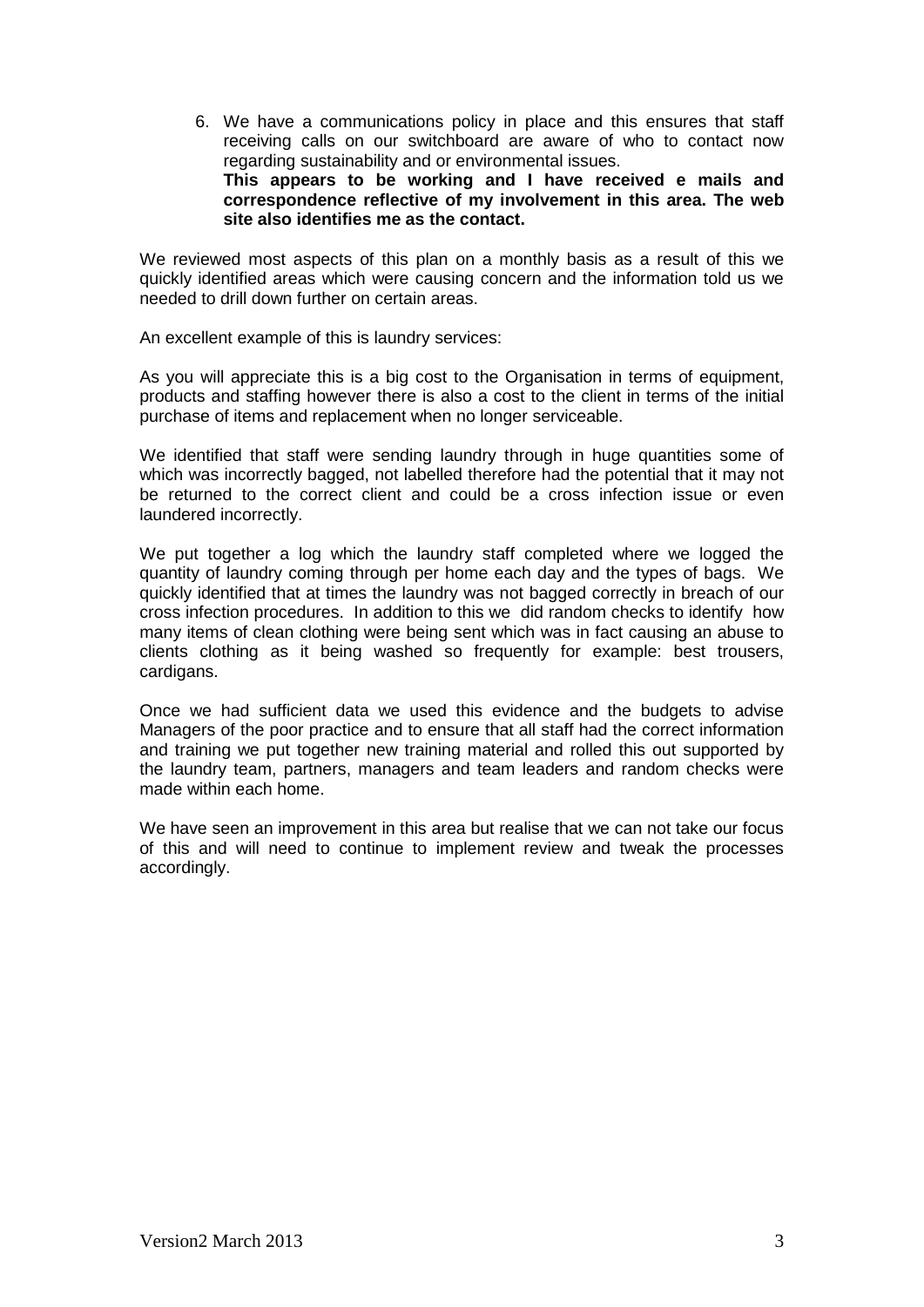6. We have a communications policy in place and this ensures that staff receiving calls on our switchboard are aware of who to contact now regarding sustainability and or environmental issues. **This appears to be working and I have received e mails and correspondence reflective of my involvement in this area. The web site also identifies me as the contact.**

We reviewed most aspects of this plan on a monthly basis as a result of this we quickly identified areas which were causing concern and the information told us we needed to drill down further on certain areas.

An excellent example of this is laundry services:

As you will appreciate this is a big cost to the Organisation in terms of equipment, products and staffing however there is also a cost to the client in terms of the initial purchase of items and replacement when no longer serviceable.

We identified that staff were sending laundry through in huge quantities some of which was incorrectly bagged, not labelled therefore had the potential that it may not be returned to the correct client and could be a cross infection issue or even laundered incorrectly.

We put together a log which the laundry staff completed where we logged the quantity of laundry coming through per home each day and the types of bags. We quickly identified that at times the laundry was not bagged correctly in breach of our cross infection procedures. In addition to this we did random checks to identify how many items of clean clothing were being sent which was in fact causing an abuse to clients clothing as it being washed so frequently for example: best trousers, cardigans.

Once we had sufficient data we used this evidence and the budgets to advise Managers of the poor practice and to ensure that all staff had the correct information and training we put together new training material and rolled this out supported by the laundry team, partners, managers and team leaders and random checks were made within each home.

We have seen an improvement in this area but realise that we can not take our focus of this and will need to continue to implement review and tweak the processes accordingly.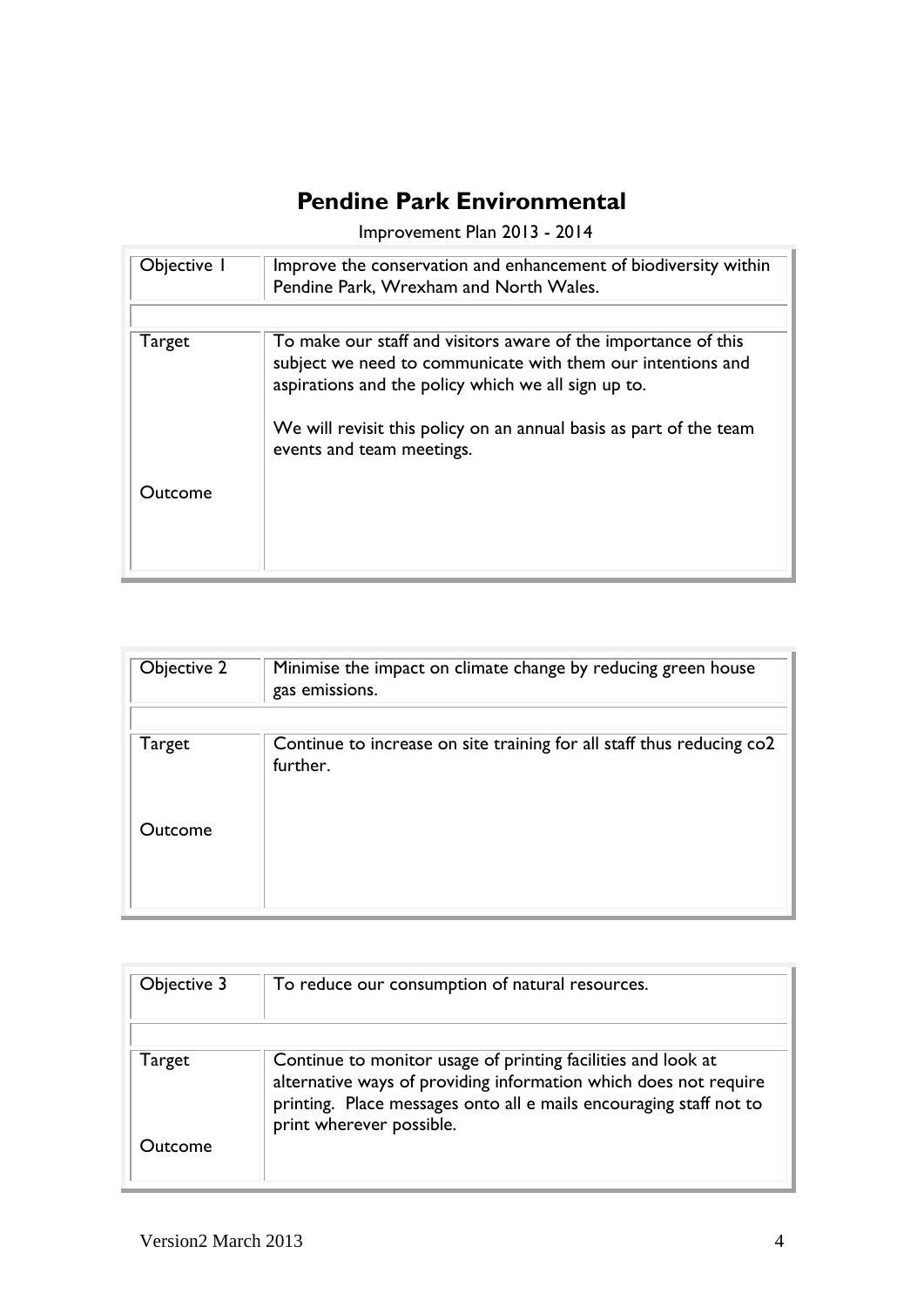# **Pendine Park Environmental**

Improvement Plan 2013 - 2014

| Objective 1 | Improve the conservation and enhancement of biodiversity within<br>Pendine Park, Wrexham and North Wales.                                                                            |
|-------------|--------------------------------------------------------------------------------------------------------------------------------------------------------------------------------------|
| Target      | To make our staff and visitors aware of the importance of this<br>subject we need to communicate with them our intentions and<br>aspirations and the policy which we all sign up to. |
|             | We will revisit this policy on an annual basis as part of the team<br>events and team meetings.                                                                                      |
| Outcome     |                                                                                                                                                                                      |

| Objective 2 | Minimise the impact on climate change by reducing green house<br>gas emissions.   |
|-------------|-----------------------------------------------------------------------------------|
| Target      | Continue to increase on site training for all staff thus reducing co2<br>further. |
| Outcome     |                                                                                   |

| Objective 3 | To reduce our consumption of natural resources.                                                                                                                                                        |
|-------------|--------------------------------------------------------------------------------------------------------------------------------------------------------------------------------------------------------|
| Target      | Continue to monitor usage of printing facilities and look at<br>alternative ways of providing information which does not require<br>printing. Place messages onto all e mails encouraging staff not to |
| Outcome     | print wherever possible.                                                                                                                                                                               |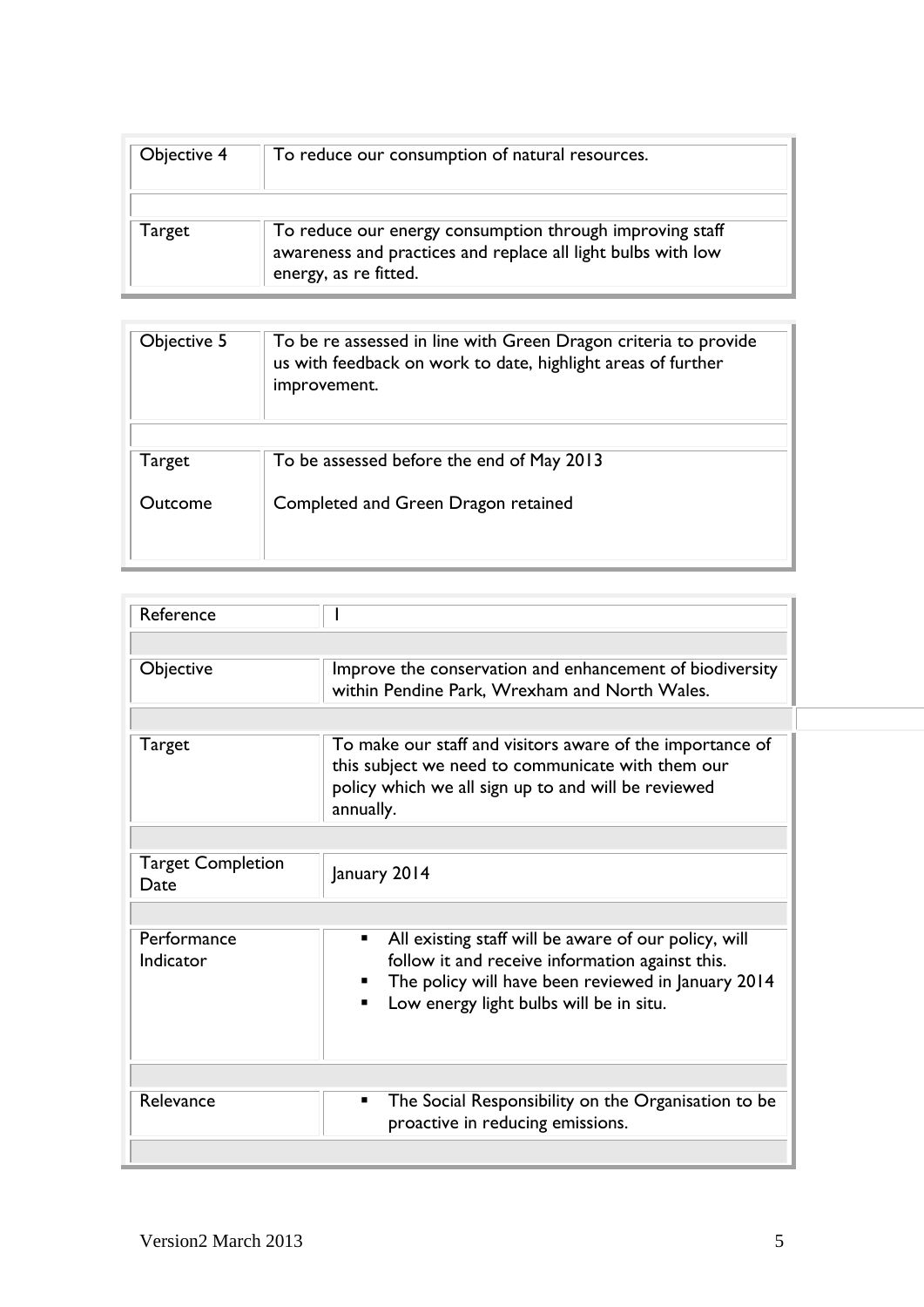| Objective 4 | To reduce our consumption of natural resources.                                                                                                   |
|-------------|---------------------------------------------------------------------------------------------------------------------------------------------------|
| Target      | To reduce our energy consumption through improving staff<br>awareness and practices and replace all light bulbs with low<br>energy, as re fitted. |

| Objective 5 | To be re assessed in line with Green Dragon criteria to provide<br>us with feedback on work to date, highlight areas of further<br>improvement. |
|-------------|-------------------------------------------------------------------------------------------------------------------------------------------------|
| Target      | To be assessed before the end of May 2013                                                                                                       |
| Outcome     | Completed and Green Dragon retained                                                                                                             |

| Reference                        |                                                                                                                                                                                                               |
|----------------------------------|---------------------------------------------------------------------------------------------------------------------------------------------------------------------------------------------------------------|
|                                  |                                                                                                                                                                                                               |
| Objective                        | Improve the conservation and enhancement of biodiversity<br>within Pendine Park, Wrexham and North Wales.                                                                                                     |
|                                  |                                                                                                                                                                                                               |
| <b>Target</b>                    | To make our staff and visitors aware of the importance of<br>this subject we need to communicate with them our<br>policy which we all sign up to and will be reviewed<br>annually.                            |
|                                  |                                                                                                                                                                                                               |
| <b>Target Completion</b><br>Date | January 2014                                                                                                                                                                                                  |
|                                  |                                                                                                                                                                                                               |
| Performance<br>Indicator         | All existing staff will be aware of our policy, will<br>٠<br>follow it and receive information against this.<br>The policy will have been reviewed in January 2014<br>Low energy light bulbs will be in situ. |
|                                  |                                                                                                                                                                                                               |
| Relevance                        | The Social Responsibility on the Organisation to be<br>٠<br>proactive in reducing emissions.                                                                                                                  |
|                                  |                                                                                                                                                                                                               |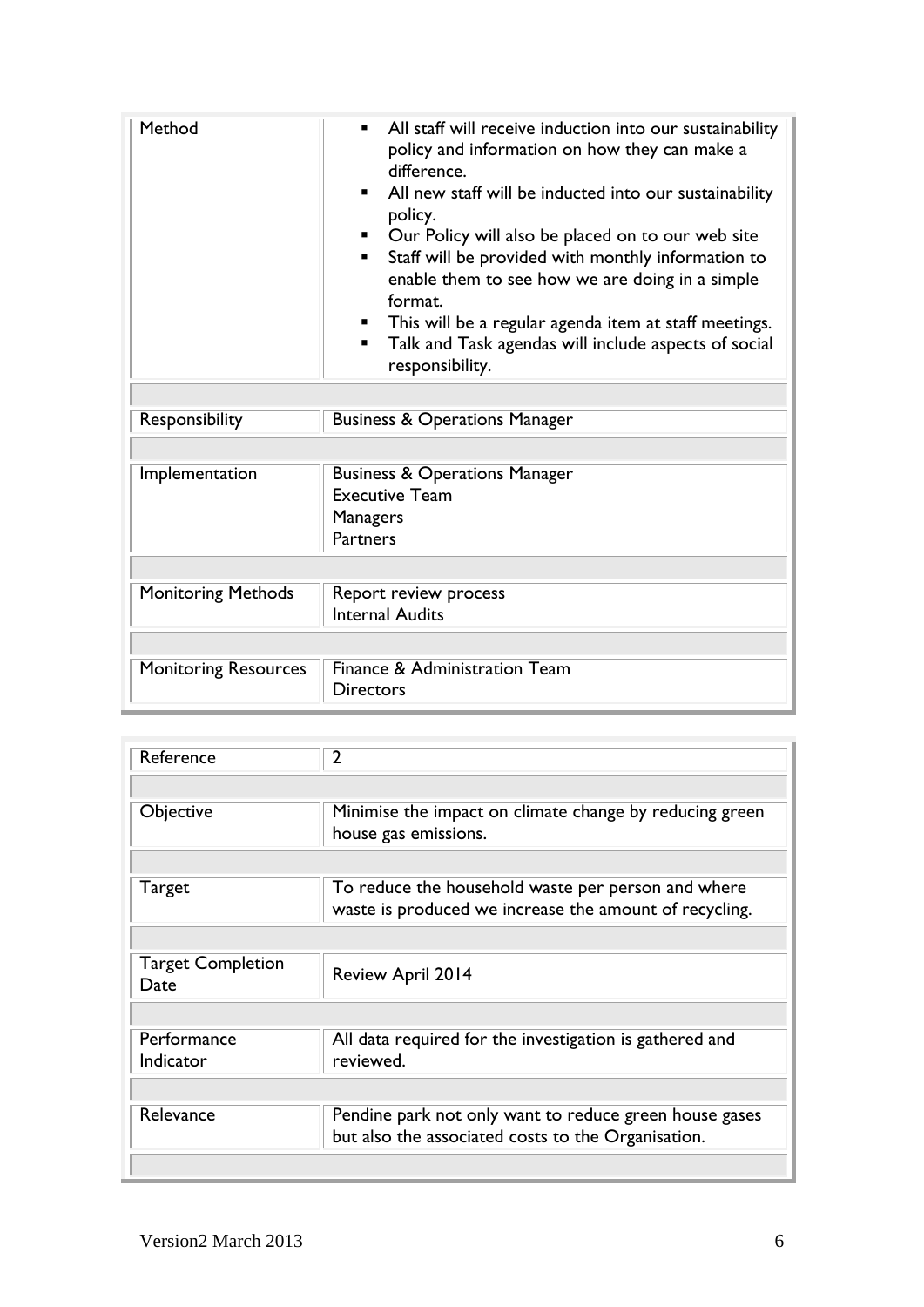| Method                      | All staff will receive induction into our sustainability<br>policy and information on how they can make a<br>difference.<br>All new staff will be inducted into our sustainability<br>. .<br>policy.<br>Our Policy will also be placed on to our web site<br>Staff will be provided with monthly information to<br>. .<br>enable them to see how we are doing in a simple<br>format.<br>This will be a regular agenda item at staff meetings.<br>Talk and Task agendas will include aspects of social<br>п.<br>responsibility. |
|-----------------------------|--------------------------------------------------------------------------------------------------------------------------------------------------------------------------------------------------------------------------------------------------------------------------------------------------------------------------------------------------------------------------------------------------------------------------------------------------------------------------------------------------------------------------------|
| Responsibility              | <b>Business &amp; Operations Manager</b>                                                                                                                                                                                                                                                                                                                                                                                                                                                                                       |
|                             |                                                                                                                                                                                                                                                                                                                                                                                                                                                                                                                                |
| Implementation              | <b>Business &amp; Operations Manager</b><br><b>Executive Team</b><br><b>Managers</b><br><b>Partners</b>                                                                                                                                                                                                                                                                                                                                                                                                                        |
|                             |                                                                                                                                                                                                                                                                                                                                                                                                                                                                                                                                |
| <b>Monitoring Methods</b>   | Report review process<br><b>Internal Audits</b>                                                                                                                                                                                                                                                                                                                                                                                                                                                                                |
|                             |                                                                                                                                                                                                                                                                                                                                                                                                                                                                                                                                |
| <b>Monitoring Resources</b> | Finance & Administration Team<br><b>Directors</b>                                                                                                                                                                                                                                                                                                                                                                                                                                                                              |

| Reference                        | $\overline{2}$                                                                                               |
|----------------------------------|--------------------------------------------------------------------------------------------------------------|
|                                  |                                                                                                              |
| Objective                        | Minimise the impact on climate change by reducing green<br>house gas emissions.                              |
|                                  |                                                                                                              |
| Target                           | To reduce the household waste per person and where<br>waste is produced we increase the amount of recycling. |
|                                  |                                                                                                              |
| <b>Target Completion</b><br>Date | <b>Review April 2014</b>                                                                                     |
|                                  |                                                                                                              |
| Performance<br>Indicator         | All data required for the investigation is gathered and<br>reviewed.                                         |
|                                  |                                                                                                              |
| Relevance                        | Pendine park not only want to reduce green house gases<br>but also the associated costs to the Organisation. |
|                                  |                                                                                                              |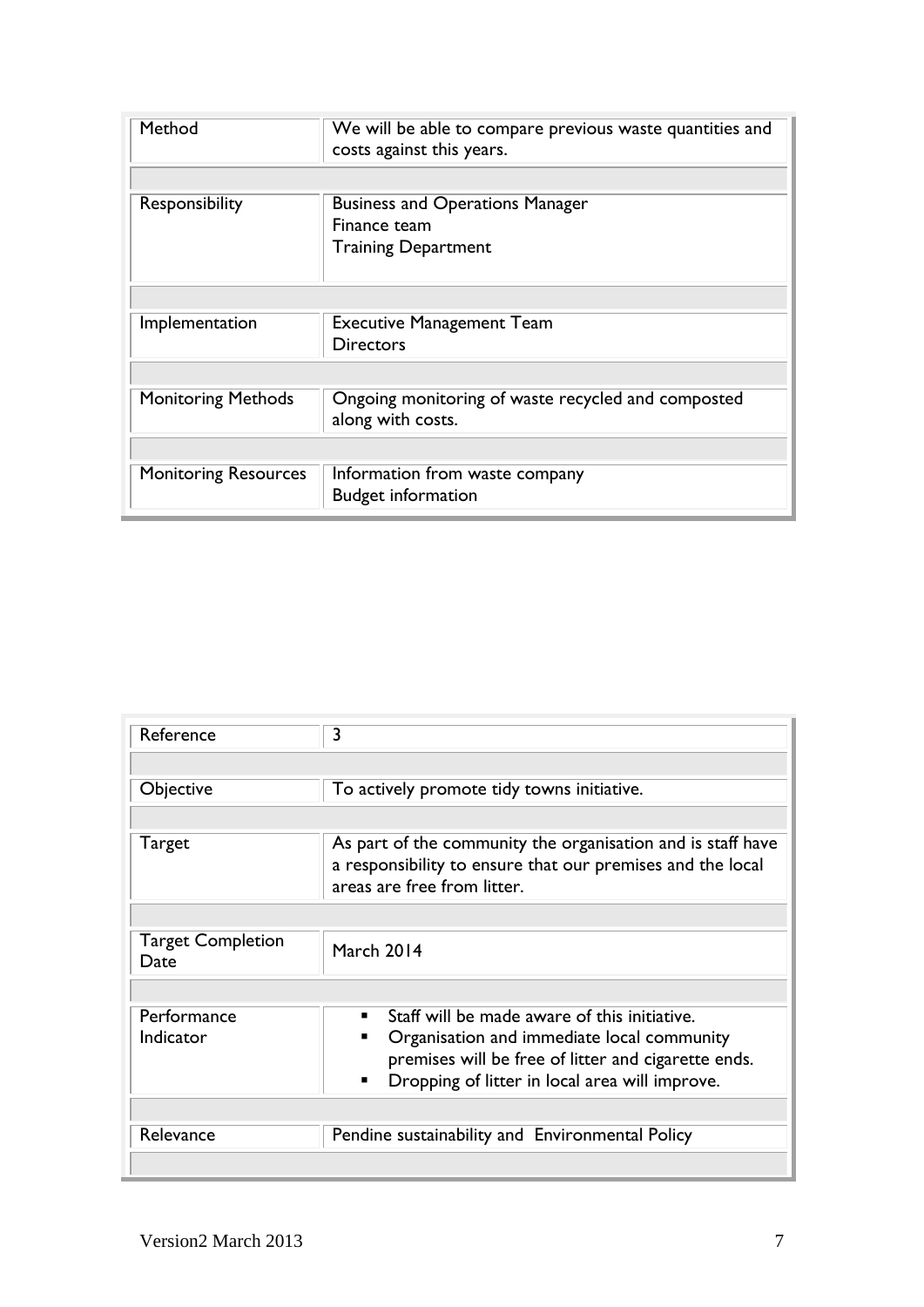| Method                      | We will be able to compare previous waste quantities and<br>costs against this years. |
|-----------------------------|---------------------------------------------------------------------------------------|
|                             |                                                                                       |
| Responsibility              | <b>Business and Operations Manager</b>                                                |
|                             | Finance team                                                                          |
|                             | <b>Training Department</b>                                                            |
|                             |                                                                                       |
| Implementation              | <b>Executive Management Team</b>                                                      |
|                             | <b>Directors</b>                                                                      |
|                             |                                                                                       |
| <b>Monitoring Methods</b>   | Ongoing monitoring of waste recycled and composted                                    |
|                             | along with costs.                                                                     |
|                             |                                                                                       |
| <b>Monitoring Resources</b> | Information from waste company                                                        |
|                             | <b>Budget information</b>                                                             |

| Reference                        | 3                                                                                                                                                        |
|----------------------------------|----------------------------------------------------------------------------------------------------------------------------------------------------------|
|                                  |                                                                                                                                                          |
| Objective                        | To actively promote tidy towns initiative.                                                                                                               |
|                                  |                                                                                                                                                          |
| Target                           | As part of the community the organisation and is staff have<br>a responsibility to ensure that our premises and the local<br>areas are free from litter. |
|                                  |                                                                                                                                                          |
| <b>Target Completion</b><br>Date | March 2014                                                                                                                                               |
|                                  |                                                                                                                                                          |
| Performance                      | Staff will be made aware of this initiative.                                                                                                             |
| Indicator                        | Organisation and immediate local community                                                                                                               |
|                                  | premises will be free of litter and cigarette ends.                                                                                                      |
|                                  | Dropping of litter in local area will improve.<br>$\blacksquare$                                                                                         |
|                                  |                                                                                                                                                          |
| Relevance                        | Pendine sustainability and Environmental Policy                                                                                                          |
|                                  |                                                                                                                                                          |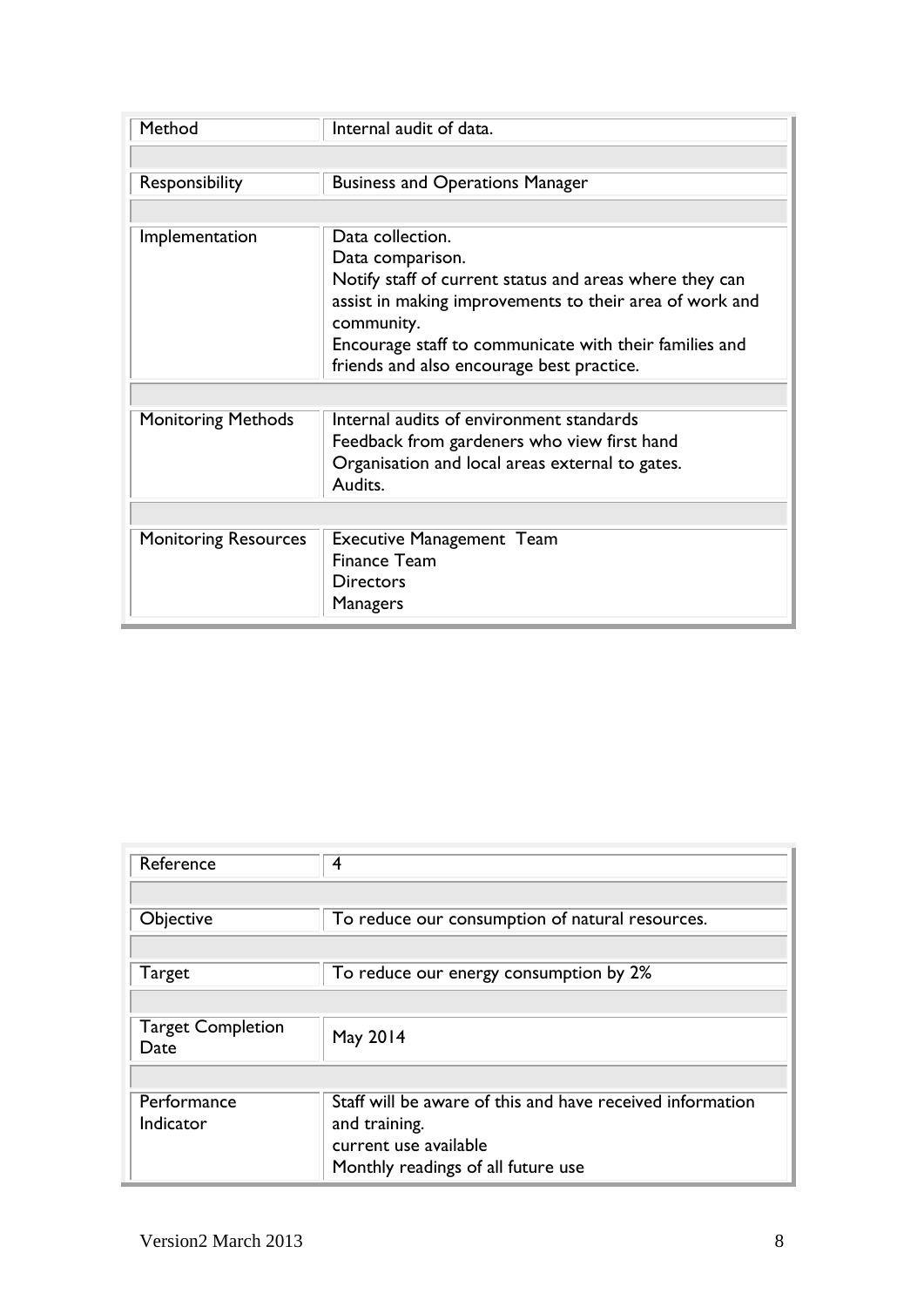| Method                      | Internal audit of data.                                               |  |
|-----------------------------|-----------------------------------------------------------------------|--|
|                             |                                                                       |  |
| Responsibility              | <b>Business and Operations Manager</b>                                |  |
|                             |                                                                       |  |
| Implementation              | Data collection.                                                      |  |
|                             | Data comparison.                                                      |  |
|                             | Notify staff of current status and areas where they can               |  |
|                             | assist in making improvements to their area of work and<br>community. |  |
|                             | Encourage staff to communicate with their families and                |  |
|                             | friends and also encourage best practice.                             |  |
|                             |                                                                       |  |
| <b>Monitoring Methods</b>   | Internal audits of environment standards                              |  |
|                             | Feedback from gardeners who view first hand                           |  |
|                             | Organisation and local areas external to gates.                       |  |
|                             | Audits.                                                               |  |
|                             |                                                                       |  |
| <b>Monitoring Resources</b> | <b>Executive Management Team</b>                                      |  |
|                             | <b>Finance Team</b>                                                   |  |
|                             | Directors                                                             |  |
|                             | Managers                                                              |  |

| Reference                        | 4                                                                                                                                         |
|----------------------------------|-------------------------------------------------------------------------------------------------------------------------------------------|
|                                  |                                                                                                                                           |
| Objective                        | To reduce our consumption of natural resources.                                                                                           |
|                                  |                                                                                                                                           |
| <b>Target</b>                    | To reduce our energy consumption by 2%                                                                                                    |
|                                  |                                                                                                                                           |
| <b>Target Completion</b><br>Date | May 2014                                                                                                                                  |
|                                  |                                                                                                                                           |
| Performance<br>Indicator         | Staff will be aware of this and have received information<br>and training.<br>current use available<br>Monthly readings of all future use |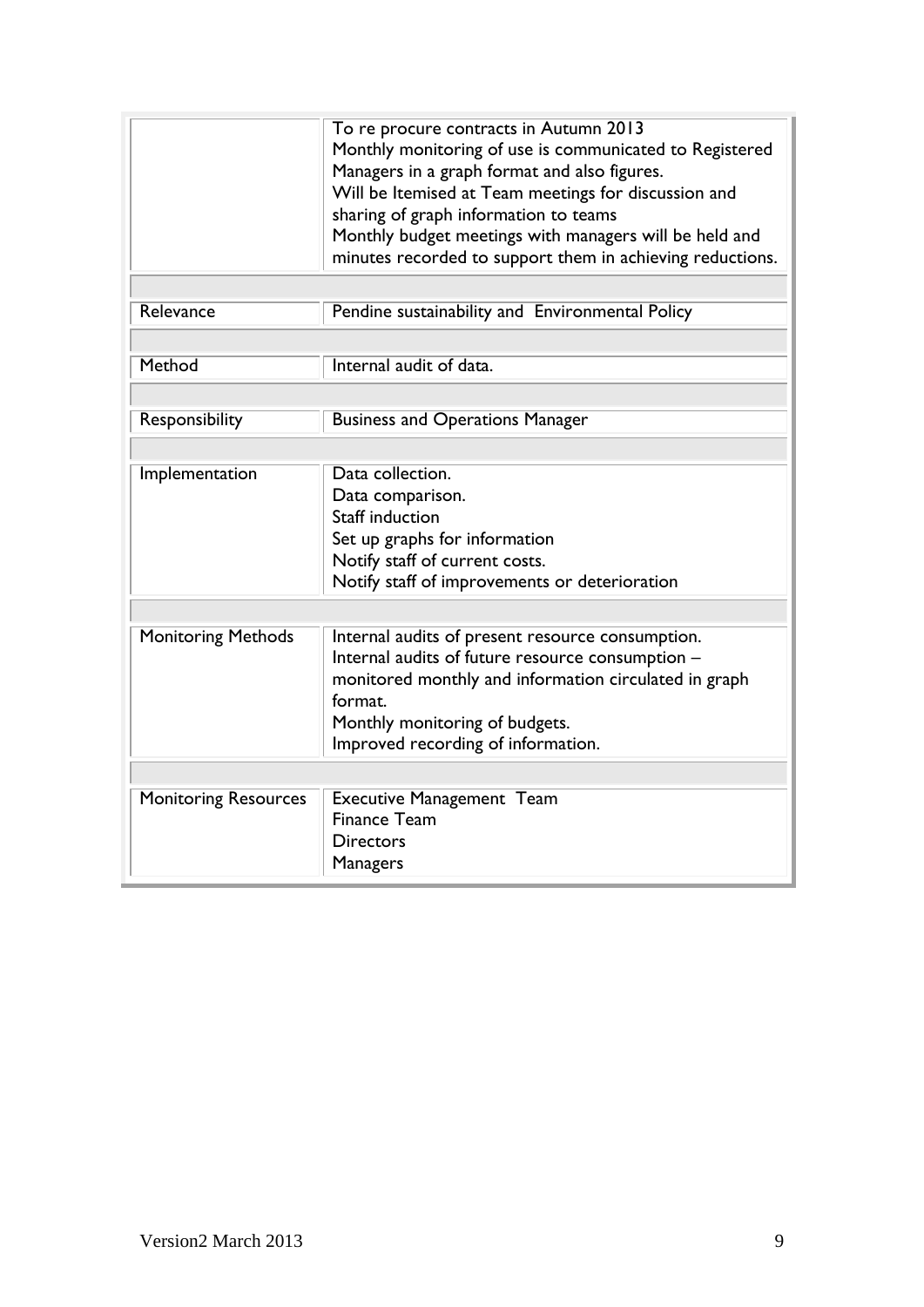|                             | To re procure contracts in Autumn 2013<br>Monthly monitoring of use is communicated to Registered<br>Managers in a graph format and also figures.<br>Will be Itemised at Team meetings for discussion and<br>sharing of graph information to teams<br>Monthly budget meetings with managers will be held and<br>minutes recorded to support them in achieving reductions. |
|-----------------------------|---------------------------------------------------------------------------------------------------------------------------------------------------------------------------------------------------------------------------------------------------------------------------------------------------------------------------------------------------------------------------|
| Relevance                   | Pendine sustainability and Environmental Policy                                                                                                                                                                                                                                                                                                                           |
| Method                      | Internal audit of data.                                                                                                                                                                                                                                                                                                                                                   |
| Responsibility              | <b>Business and Operations Manager</b>                                                                                                                                                                                                                                                                                                                                    |
| Implementation              | Data collection.<br>Data comparison.<br>Staff induction<br>Set up graphs for information<br>Notify staff of current costs.<br>Notify staff of improvements or deterioration                                                                                                                                                                                               |
| <b>Monitoring Methods</b>   | Internal audits of present resource consumption.<br>Internal audits of future resource consumption -<br>monitored monthly and information circulated in graph<br>format.<br>Monthly monitoring of budgets.<br>Improved recording of information.                                                                                                                          |
|                             |                                                                                                                                                                                                                                                                                                                                                                           |
| <b>Monitoring Resources</b> | <b>Executive Management Team</b><br><b>Finance Team</b><br>Directors<br><b>Managers</b>                                                                                                                                                                                                                                                                                   |